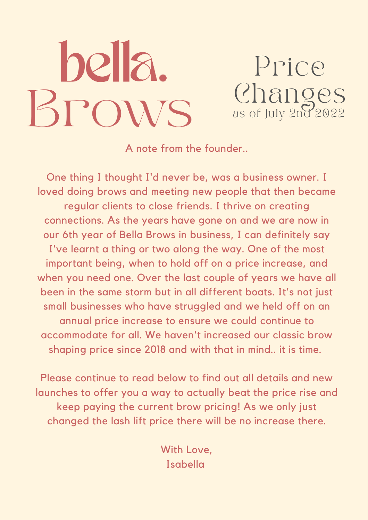# hella. BPOWS

Price Changes as of July 2nd 2022

A note from the founder..

One thing I thought I'd never be, was a business owner. I loved doing brows and meeting new people that then became regular clients to close friends. I thrive on creating connections. As the years have gone on and we are now in our 6th year of Bella Brows in business, I can definitely say I've learnt a thing or two along the way. One of the most important being, when to hold off on a price increase, and when you need one. Over the last couple of years we have all been in the same storm but in all different boats. It's not just small businesses who have struggled and we held off on an annual price increase to ensure we could continue to accommodate for all. We haven't increased our classic brow shaping price since 2018 and with that in mind.. it is time.

Please continue to read below to find out all details and new launches to offer you a way to actually beat the price rise and keep paying the current brow pricing! As we only just changed the lash lift price there will be no increase there.

> With Love, Isabella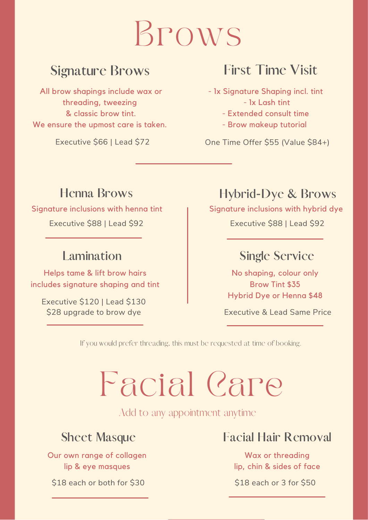# Brows

## **Signature Brows**

All brow shapings include wax or threading, tweezing & classic brow tint. We ensure the upmost care is taken.

Executive \$66 | Lead \$72

## **First Time Visit**

- 1x Signature Shaping incl. tint - 1x Lash tint
	- Extended consult time
	- Brow makeup tutorial

One Time Offer \$55 (Value \$84+)

### **Henna Brows**

Signature inclusions with henna tint Executive \$88 | Lead \$92

### **Lamination**

Helps tame & lift brow hairs includes signature shaping and tint

Executive \$120 | Lead \$130 \$28 upgrade to brow dye

## **Hybrid-Dye & Brows**

Signature inclusions with hybrid dye

Executive \$88 | Lead \$92

### **Single Service**

No shaping, colour only Brow Tint \$35 Hybrid Dye or Henna \$48

Executive & Lead Same Price

If you would prefer threading, this must be requested at time of booking.

# Facial Care

Add to any appointment anytime

Our own range of collagen lip & eye masques

\$18 each or both for \$30

### **Sheet Masque Facial Hair Removal**

Wax or threading lip, chin & sides of face

\$18 each or 3 for \$50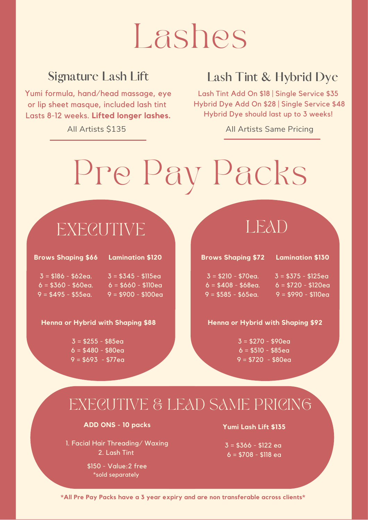# Lashes

## **Signature Lash Lift**

Yumi formula, hand/head massage, eye or lip sheet masque, included lash tint Lasts 8-12 weeks. Lifted longer lashes.

All Artists \$135

## **Lash Tint & Hybrid Dye**

Lash Tint Add On \$18 | Single Service \$35 Hybrid Dye Add On \$28 | Single Service \$48 Hybrid Dye should last up to 3 weeks!

**All Artists Same Pricing** 

# Pre Pay Packs

# **EXECUTIVE**

**Brows Shaping \$66** 

#### **Lamination \$120**

 $3 = $186 - $62$ eg.  $6 = $360 - $60$ ea.  $9 = $495 - $55$ ea.

 $3 = $345 - $115eq$  $6 = $660 - $110ea$  $9 = $900 - $100$ ea

### Henna or Hybrid with Shaping \$88

 $3 = $255 - $85$ ea  $6 = $480 - $80eq$  $9 = $693 - $77ea$ 

# LEAD

#### **Brows Shaping \$72 Lamination \$130**

#### $3 = $210 - $70$ eg.  $3 = $375 - $125$ eg  $6 = $408 - $68$ ea.  $6 = $720 - $120ea$  $9 = $585 - $65$ ea.  $9 = $990 - $110ea$

### Henna or Hybrid with Shaping \$92

 $3 = $270 - $90ea$  $6 = $510 - $85$ ea  $9 = $720 - $80$ ea

# EXECUTIVE & LEAD SAME PRICING

### ADD ONS - 10 packs

1. Facial Hair Threading/Waxing 2. Lash Tint

> \$150 - Value: 2 free \*sold separately

### Yumi Lash Lift \$135

 $3 = $366 - $122$  ea  $6 = $708 - $118$  ea

\*All Pre Pay Packs have a 3 year expiry and are non transferable across clients\*